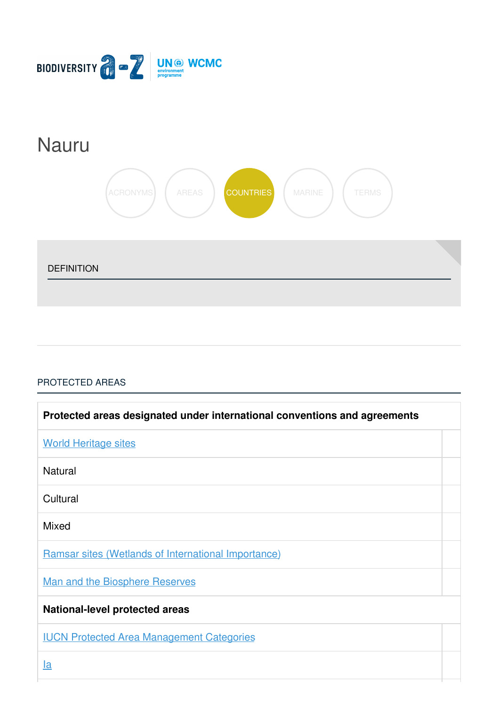

# [Nauru](https://biodiversitya-z.org/content/nauru)



DEFINITION

## [PROTECTED](javascript:void(0)) AREAS

| Protected areas designated under international conventions and agreements |  |
|---------------------------------------------------------------------------|--|
| <b>World Heritage sites</b>                                               |  |
| <b>Natural</b>                                                            |  |
| Cultural                                                                  |  |
| <b>Mixed</b>                                                              |  |
| <b>Ramsar sites (Wetlands of International Importance)</b>                |  |
| <b>Man and the Biosphere Reserves</b>                                     |  |
| <b>National-level protected areas</b>                                     |  |
| <b>IUCN Protected Area Management Categories</b>                          |  |
| <u>la</u>                                                                 |  |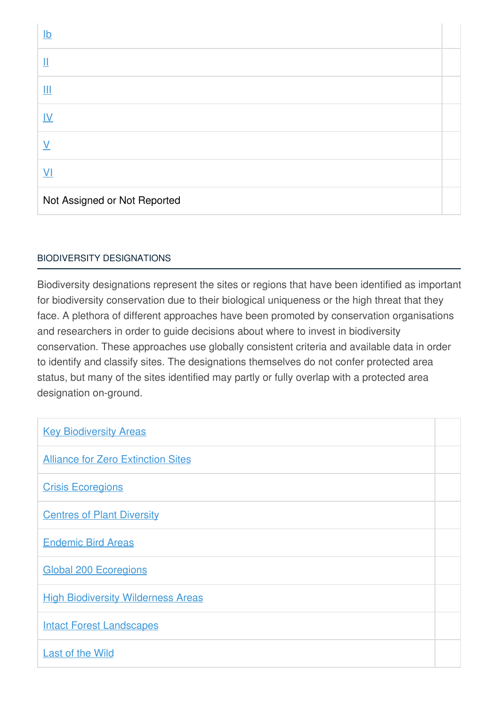| $lb$                         |  |
|------------------------------|--|
| $\mathop{\rm II}\nolimits$   |  |
| Ш                            |  |
| $\underline{\mathsf{IV}}$    |  |
| $\overline{\mathsf{V}}$      |  |
| $\underline{V}$              |  |
| Not Assigned or Not Reported |  |

## BIODIVERSITY [DESIGNATIONS](javascript:void(0))

Biodiversity designations represent the sites or regions that have been identified as important for biodiversity conservation due to their biological uniqueness or the high threat that they face. A plethora of different approaches have been promoted by conservation organisations and researchers in order to guide decisions about where to invest in biodiversity conservation. These approaches use globally consistent criteria and available data in order to identify and classify sites. The designations themselves do not confer protected area status, but many of the sites identified may partly or fully overlap with a protected area designation on-ground.

| <b>Key Biodiversity Areas</b>             |  |
|-------------------------------------------|--|
| <b>Alliance for Zero Extinction Sites</b> |  |
| <b>Crisis Ecoregions</b>                  |  |
| <b>Centres of Plant Diversity</b>         |  |
| <b>Endemic Bird Areas</b>                 |  |
| <b>Global 200 Ecoregions</b>              |  |
| <b>High Biodiversity Wilderness Areas</b> |  |
| <b>Intact Forest Landscapes</b>           |  |
| <b>Last of the Wild</b>                   |  |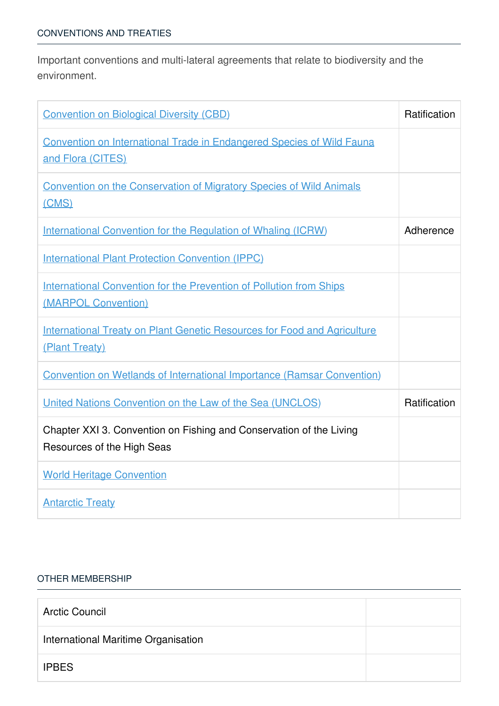Important conventions and multi-lateral agreements that relate to biodiversity and the environment.

| <b>Convention on Biological Diversity (CBD)</b>                                                   | Ratification |
|---------------------------------------------------------------------------------------------------|--------------|
| <b>Convention on International Trade in Endangered Species of Wild Fauna</b><br>and Flora (CITES) |              |
| <b>Convention on the Conservation of Migratory Species of Wild Animals</b><br>(CMS)               |              |
| <b>International Convention for the Regulation of Whaling (ICRW)</b>                              | Adherence    |
| <b>International Plant Protection Convention (IPPC)</b>                                           |              |
| <b>International Convention for the Prevention of Pollution from Ships</b><br>(MARPOL Convention) |              |
| <b>International Treaty on Plant Genetic Resources for Food and Agriculture</b><br>(Plant Treaty) |              |
| <b>Convention on Wetlands of International Importance (Ramsar Convention)</b>                     |              |
| United Nations Convention on the Law of the Sea (UNCLOS)                                          | Ratification |
| Chapter XXI 3. Convention on Fishing and Conservation of the Living<br>Resources of the High Seas |              |
| <b>World Heritage Convention</b>                                                                  |              |
| <b>Antarctic Treaty</b>                                                                           |              |

### OTHER [MEMBERSHIP](javascript:void(0))

| <b>Arctic Council</b>               |  |
|-------------------------------------|--|
| International Maritime Organisation |  |
| <b>IPBES</b>                        |  |